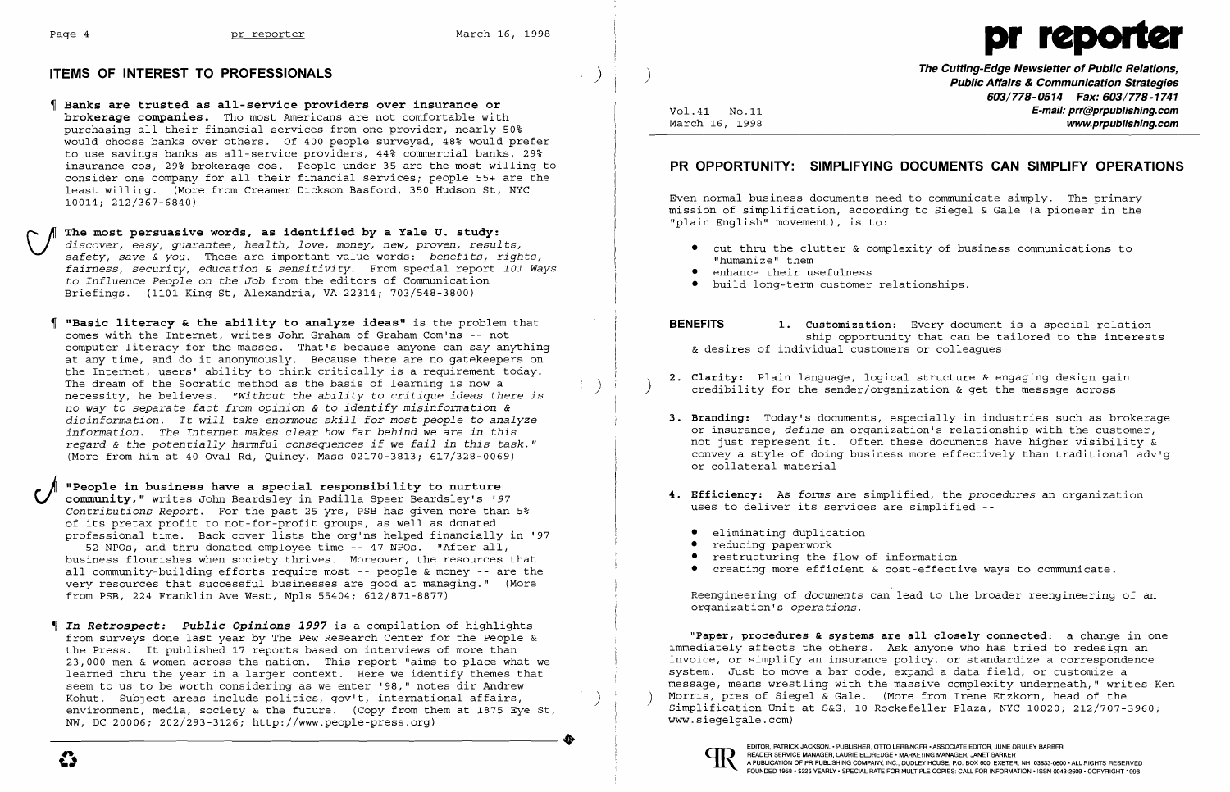## **ITEMS OF INTEREST TO PROFESSIONALS**



- Banks are trusted as all-service providers over insurance or brokerage companies. Tho most Americans are not comfortable with purchasing all their financial services from one provider, nearly 50% would choose banks over others. Of 400 people surveyed, 48% would prefer to use savings banks as all-service providers, 44% commercial banks, 29% insurance cos, 29% brokerage cos. People under 35 are the most willing to consider one company for all their financial services; people 55+ are the least willing. (More from Creamer Dickson Basford, 350 Hudson St, NYC 10014; 212/367-6840)
- $\bigcup_{\alpha}$  The most persuasive words, as identified by a Yale U. study: *safety, save* & *you.* These are important value words: *benefits, rights, discover, easy, guarantee, health, love, money, new, proven, results, fairness, security, education* & *sensitivity.* From special report *101 Ways*  to *Influence People* on *the Job* from the editors of Communication Briefings. (1101 King St, Alexandria, VA 22314; 703/548-3800)
	- "Basic literacy & the ability to analyze ideas" is the problem that comes with the Internet, writes John Graham of Graham Com'ns -- not computer literacy for the masses. That's because anyone can say anything at any time, and do it anonymously. Because there are no gatekeepers on the Internet, users' ability to think critically is a requirement today.<br>The dream of the Socratic method as the basis of learning is now a The dream of the Socratic method as the basis of learning is now a ) necessity, he believes. *"without the ability* to *critique ideas there is no way* to *separate fact from opinion* & to *identify misinformation* & *disinformation.* It *will take enormous skill for most people* to *analyze information. The Internet makes clear how far behind we are in this regard* & *the potentially harmful consequences if we fail in this task."*  (More from him at 40 Oval Rd, Quincy, Mass 02170-3813; 617/328-0069)
- **J** "People in business have a special responsibility to nurture<br>community," writes John Beardsley in Padilla Speer Beardsley's '97<br>Contributions Beport For the past 25 yrs. BSB has given more than *Contributions Report.* For the past 25 yrs, PSB has given more than 5% of its pretax profit to not-for-profit groups, as well as donated professional time. Back cover lists the org'ns helped financially in '97 -- 52 NPOs, and thru donated employee time -- 47 NPOs. "After all, business flourishes when society thrives. Moreover, the resources that all community-building efforts require most -- people & money -- are the very resources that successful businesses are good at managing." (More from PSB, 224 Franklin Ave West, Mpls 55404; 612/871-8877)
	- In *Retrospect: Public Opinions* 1997 is a compilation of highlights from surveys done last year by The Pew Research Center for the People & the Press. It published 17 reports based on interviews of more than 23,000 men & women across the nation. This report "aims to place what we learned thru the year in a larger context. Here we identify themes that seem to us to be worth considering as we enter '98," notes dir Andrew<br>Kohut. Subject areas include politics, gov't, international affairs, NW, DC 20006; 202/293-3126; http://www.people-press.org) environment, media, society  $\&$  the future. (Copy from them at 1875 Eye St,

**The Cutting-Edge Newsletter of Public Relations,** ) **Public Affairs & Communication Strategies**  603/778-0514 Fax: 603/778-1741 Vol.41 No.11 **No.11** No.11 **E-mail: prr@prpublishing.com**<br>March 16, 1998 **March 1998** www.prpublishing.com

Even normal business documents need to communicate simply. The primary mission of simplification, according to Siegel & Gale (a pioneer in the "plain English" movement), is to:

- "humanize" them
- enhance their usefulness
- • build long-term customer relationships.
- 

3. Branding: Today's documents, especially in industries such as brokerage or insurance, *define* an organization's relationship with the customer, not just represent it. Often these documents have higher visibility & convey a style of doing business more effectively than traditional adv'g

- 2. Clarity: Plain language, logical structure & engaging design gain credibility for the sender/organization & get the message across
- or collateral material
- 4. Efficiency: As *forms* are simplified, the *procedures* an organization uses to deliver its services are simplified
	- eliminating duplication
	- reducing paperwork
	- restructuring the flow of information
	- • creating more efficient & cost-effective ways to communicate.



# **PR OPPORTUNITY: SIMPLIFYING DOCUMENTS CAN SIMPLIFY OPERATIONS**

• cut thru the clutter & complexity of business communications to

**BENEFITS** 1. Customization: Every document is a special relationship opportunity that can be tailored to the interests & desires of individual customers or colleagues

Reengineering of *documents* can lead to the broader reengineering of an organization's *operations.* 

"Paper, procedures & systems are all closely connected: a change in one immediately affects the others. Ask anyone who has tried to redesign an invoice, or simplify an insurance policy, or standardize a correspondence system. Just to move a bar code, expand a data field, or customize a<br>message, means wrestling with the massive complexity underneath," writes Ken Morris, pres of Siegel & Gale. (More from Irene Etzkorn, head of the Simplification Unit at S&G, 10 Rockefeller Plaza, NYC 10020; 212/707-3960;<br>www.sieqelqale.com)